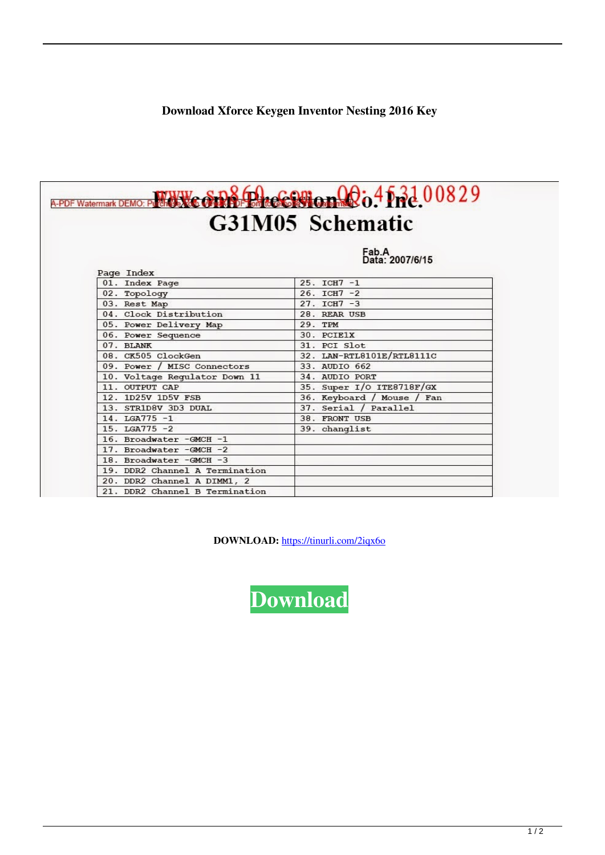## Download Xforce Keygen Inventor Nesting 2016 Key

| G31M05 Schematic               |                            |
|--------------------------------|----------------------------|
|                                | Eab.A<br>Data: 2007/6/15   |
| Page Index                     |                            |
| 01. Index Page                 | $25. TCH7 - 1$             |
| 02. Topology                   | $26. TCH7 - 2$             |
| 03. Rest Map                   | $27. TCH7 - 3$             |
| 04. Clock Distribution         | 28. REAR USB               |
| 05. Power Delivery Map         | 29. TPM                    |
| 06. Power Sequence             | 30. PCIE1X                 |
| 07. BLANK                      | 31. PCI Slot               |
| 08. CK505 ClockGen             | 32. LAN-RTL8101E/RTL8111C  |
| 09. Power / MISC Connectors    | 33. AUDIO 662              |
| 10. Voltage Regulator Down 11  | 34. AUDIO PORT             |
| 11. OUTPUT CAP                 | 35. Super I/O ITE8718F/GX  |
| 12. 1D25V 1D5V FSB             | 36. Keyboard / Mouse / Fan |
| 13. STR1D8V 3D3 DUAL           | 37. Serial / Parallel      |
| 14. LGA775 -1                  | 38. FRONT USB              |
| $15. LGA775 -2$                | 39. changlist              |
| 16. Broadwater - GMCH -1       |                            |
| 17. Broadwater -GMCH -2        |                            |
| 18. Broadwater - GMCH -3       |                            |
| 19. DDR2 Channel A Termination |                            |
| 20. DDR2 Channel A DIMM1, 2    |                            |
| 21. DDR2 Channel B Termination |                            |

DOWNLOAD: https://tinurli.com/2iqx6o